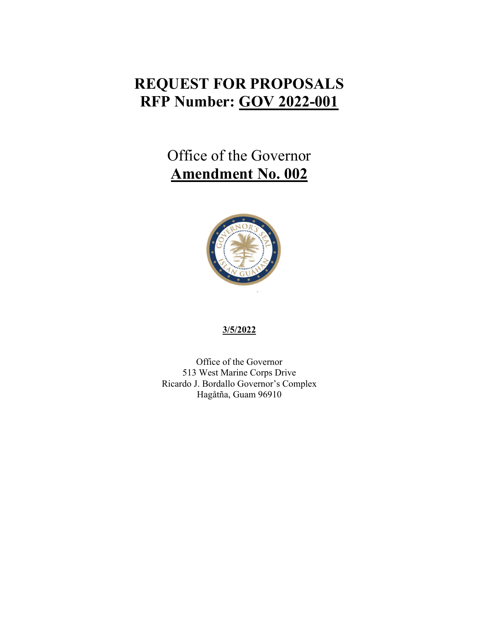## **REQUEST FOR PROPOSALS RFP Number: GOV 2022-001**

# Office of the Governor **Amendment No. 002**



#### **3/5/2022**

Office of the Governor 513 West Marine Corps Drive Ricardo J. Bordallo Governor's Complex Hagåtña, Guam 96910